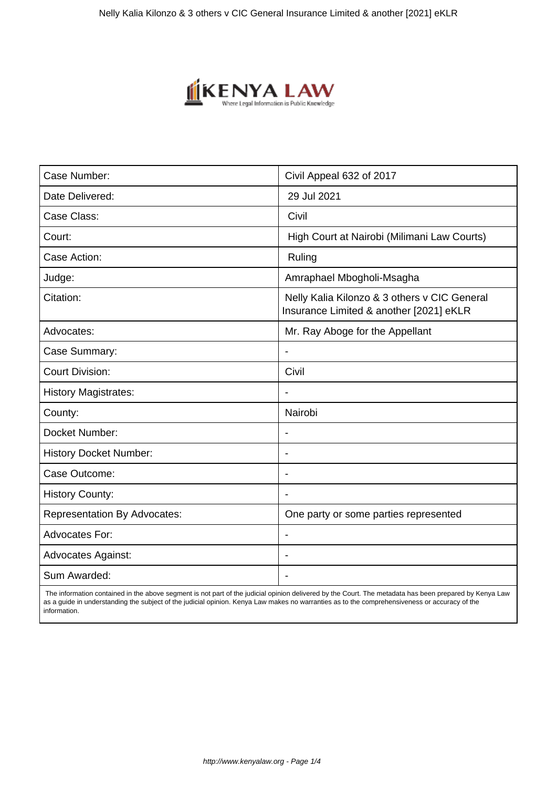

| Case Number:                        | Civil Appeal 632 of 2017                                                                |
|-------------------------------------|-----------------------------------------------------------------------------------------|
| Date Delivered:                     | 29 Jul 2021                                                                             |
| Case Class:                         | Civil                                                                                   |
| Court:                              | High Court at Nairobi (Milimani Law Courts)                                             |
| Case Action:                        | Ruling                                                                                  |
| Judge:                              | Amraphael Mbogholi-Msagha                                                               |
| Citation:                           | Nelly Kalia Kilonzo & 3 others v CIC General<br>Insurance Limited & another [2021] eKLR |
| Advocates:                          | Mr. Ray Aboge for the Appellant                                                         |
| Case Summary:                       |                                                                                         |
| <b>Court Division:</b>              | Civil                                                                                   |
| <b>History Magistrates:</b>         | $\blacksquare$                                                                          |
| County:                             | Nairobi                                                                                 |
| Docket Number:                      |                                                                                         |
| <b>History Docket Number:</b>       | $\overline{\phantom{0}}$                                                                |
| Case Outcome:                       |                                                                                         |
| <b>History County:</b>              | $\overline{\phantom{a}}$                                                                |
| <b>Representation By Advocates:</b> | One party or some parties represented                                                   |
| <b>Advocates For:</b>               |                                                                                         |
| <b>Advocates Against:</b>           |                                                                                         |
| Sum Awarded:                        |                                                                                         |

 The information contained in the above segment is not part of the judicial opinion delivered by the Court. The metadata has been prepared by Kenya Law as a guide in understanding the subject of the judicial opinion. Kenya Law makes no warranties as to the comprehensiveness or accuracy of the information.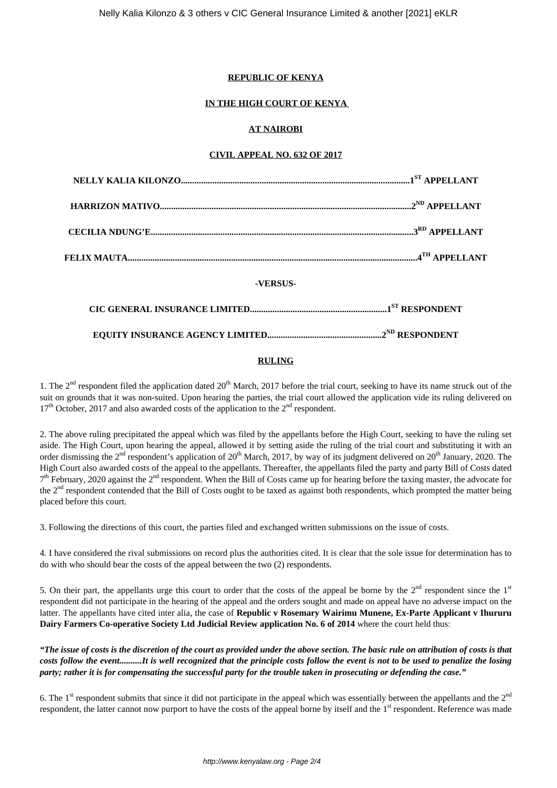### **REPUBLIC OF KENYA**

# **IN THE HIGH COURT OF KENYA**

# **AT NAIROBI**

### **CIVIL APPEAL NO. 632 OF 2017**

| -VERSUS- |  |
|----------|--|
|          |  |
|          |  |
|          |  |

# **RULING**

1. The  $2<sup>nd</sup>$  respondent filed the application dated  $20<sup>th</sup>$  March, 2017 before the trial court, seeking to have its name struck out of the suit on grounds that it was non-suited. Upon hearing the parties, the trial court allowed the application vide its ruling delivered on  $17<sup>th</sup>$  October, 2017 and also awarded costs of the application to the  $2<sup>nd</sup>$  respondent.

2. The above ruling precipitated the appeal which was filed by the appellants before the High Court, seeking to have the ruling set aside. The High Court, upon hearing the appeal, allowed it by setting aside the ruling of the trial court and substituting it with an order dismissing the  $2^{nd}$  respondent's application of  $20^{th}$  March,  $2017$ , by way of its judgment delivered on  $20^{th}$  January, 2020. The High Court also awarded costs of the appeal to the appellants. Thereafter, the appellants filed the party and party Bill of Costs dated  $7<sup>th</sup>$  February, 2020 against the  $2<sup>nd</sup>$  respondent. When the Bill of Costs came up for hearing before the taxing master, the advocate for the 2<sup>nd</sup> respondent contended that the Bill of Costs ought to be taxed as against both respondents, which prompted the matter being placed before this court.

3. Following the directions of this court, the parties filed and exchanged written submissions on the issue of costs.

4. I have considered the rival submissions on record plus the authorities cited. It is clear that the sole issue for determination has to do with who should bear the costs of the appeal between the two (2) respondents.

5. On their part, the appellants urge this court to order that the costs of the appeal be borne by the  $2<sup>nd</sup>$  respondent since the  $1<sup>st</sup>$ respondent did not participate in the hearing of the appeal and the orders sought and made on appeal have no adverse impact on the latter. The appellants have cited inter alia, the case of **Republic v Rosemary Wairimu Munene, Ex-Parte Applicant v Ihururu Dairy Farmers Co-operative Society Ltd Judicial Review application No. 6 of 2014** where the court held thus:

*"The issue of costs is the discretion of the court as provided under the above section. The basic rule on attribution of costs is that costs follow the event..........It is well recognized that the principle costs follow the event is not to be used to penalize the losing party; rather it is for compensating the successful party for the trouble taken in prosecuting or defending the case."*

6. The  $1<sup>st</sup>$  respondent submits that since it did not participate in the appeal which was essentially between the appellants and the  $2<sup>nd</sup>$ respondent, the latter cannot now purport to have the costs of the appeal borne by itself and the 1<sup>st</sup> respondent. Reference was made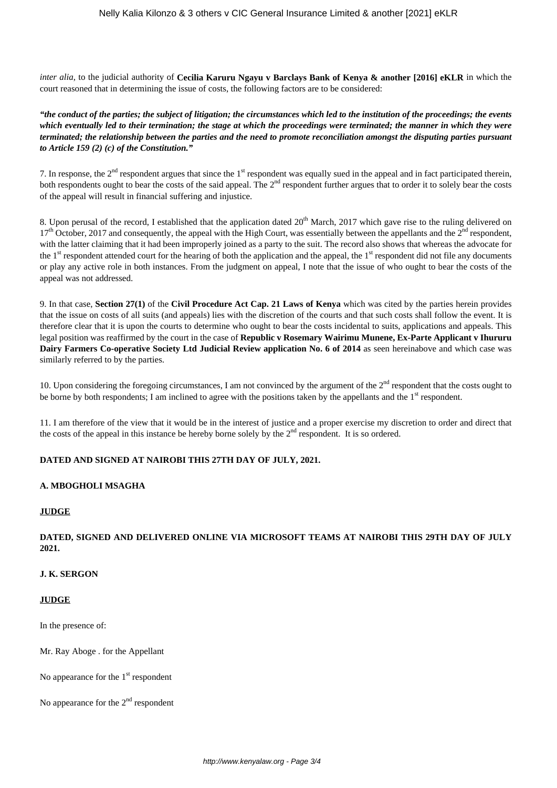*inter alia*, to the judicial authority of **Cecilia Karuru Ngayu v Barclays Bank of Kenya & another [2016] eKLR** in which the court reasoned that in determining the issue of costs, the following factors are to be considered:

*"the conduct of the parties; the subject of litigation; the circumstances which led to the institution of the proceedings; the events which eventually led to their termination; the stage at which the proceedings were terminated; the manner in which they were terminated; the relationship between the parties and the need to promote reconciliation amongst the disputing parties pursuant to Article 159 (2) (c) of the Constitution."*

7. In response, the  $2<sup>nd</sup>$  respondent argues that since the  $1<sup>st</sup>$  respondent was equally sued in the appeal and in fact participated therein, both respondents ought to bear the costs of the said appeal. The 2<sup>nd</sup> respondent further argues that to order it to solely bear the costs of the appeal will result in financial suffering and injustice.

8. Upon perusal of the record, I established that the application dated 20<sup>th</sup> March, 2017 which gave rise to the ruling delivered on  $17<sup>th</sup>$  October, 2017 and consequently, the appeal with the High Court, was essentially between the appellants and the  $2<sup>nd</sup>$  respondent, with the latter claiming that it had been improperly joined as a party to the suit. The record also shows that whereas the advocate for the  $1<sup>st</sup>$  respondent attended court for the hearing of both the application and the appeal, the  $1<sup>st</sup>$  respondent did not file any documents or play any active role in both instances. From the judgment on appeal, I note that the issue of who ought to bear the costs of the appeal was not addressed.

9. In that case, **Section 27(1)** of the **Civil Procedure Act Cap. 21 Laws of Kenya** which was cited by the parties herein provides that the issue on costs of all suits (and appeals) lies with the discretion of the courts and that such costs shall follow the event. It is therefore clear that it is upon the courts to determine who ought to bear the costs incidental to suits, applications and appeals. This legal position was reaffirmed by the court in the case of **Republic v Rosemary Wairimu Munene, Ex-Parte Applicant v Ihururu Dairy Farmers Co-operative Society Ltd Judicial Review application No. 6 of 2014** as seen hereinabove and which case was similarly referred to by the parties.

10. Upon considering the foregoing circumstances, I am not convinced by the argument of the  $2<sup>nd</sup>$  respondent that the costs ought to be borne by both respondents; I am inclined to agree with the positions taken by the appellants and the  $1<sup>st</sup>$  respondent.

11. I am therefore of the view that it would be in the interest of justice and a proper exercise my discretion to order and direct that the costs of the appeal in this instance be hereby borne solely by the  $2<sup>nd</sup>$  respondent. It is so ordered.

#### **DATED AND SIGNED AT NAIROBI THIS 27TH DAY OF JULY, 2021.**

#### **A. MBOGHOLI MSAGHA**

#### **JUDGE**

# **DATED, SIGNED AND DELIVERED ONLINE VIA MICROSOFT TEAMS AT NAIROBI THIS 29TH DAY OF JULY 2021.**

#### **J. K. SERGON**

#### **JUDGE**

In the presence of:

Mr. Ray Aboge . for the Appellant

No appearance for the  $1<sup>st</sup>$  respondent

No appearance for the  $2<sup>nd</sup>$  respondent